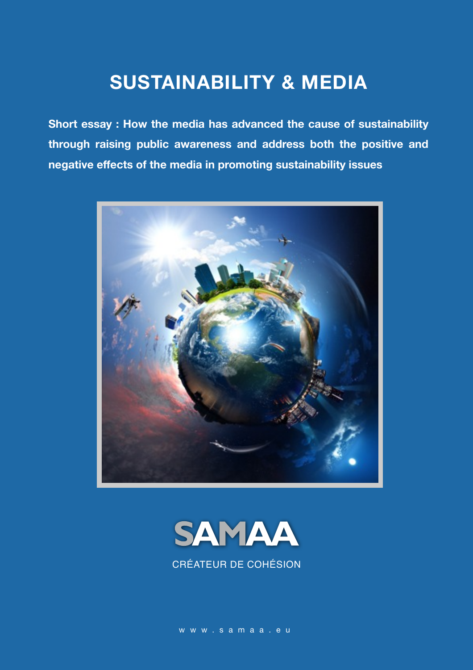## **SUSTAINABILITY & MEDIA**

**Short essay : How the media has advanced the cause of sustainability through raising public awareness and address both the positive and negative effects of the media in promoting sustainability issues**





CRÉATEUR DE COHÉSION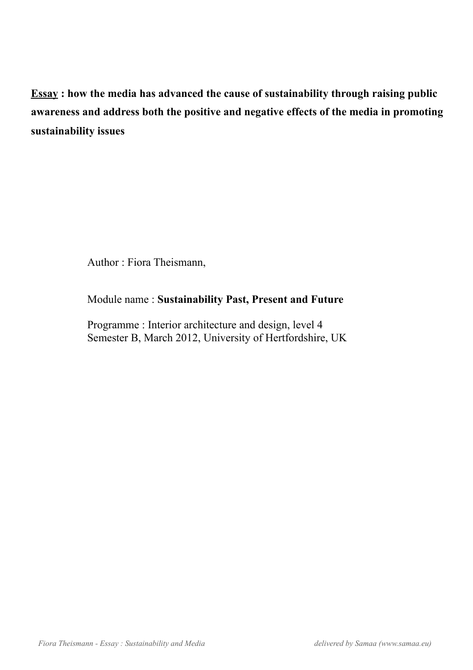**Essay : how the media has advanced the cause of sustainability through raising public awareness and address both the positive and negative effects of the media in promoting sustainability issues**

Author : Fiora Theismann,

Module name : **Sustainability Past, Present and Future**

Programme : Interior architecture and design, level 4 Semester B, March 2012, University of Hertfordshire, UK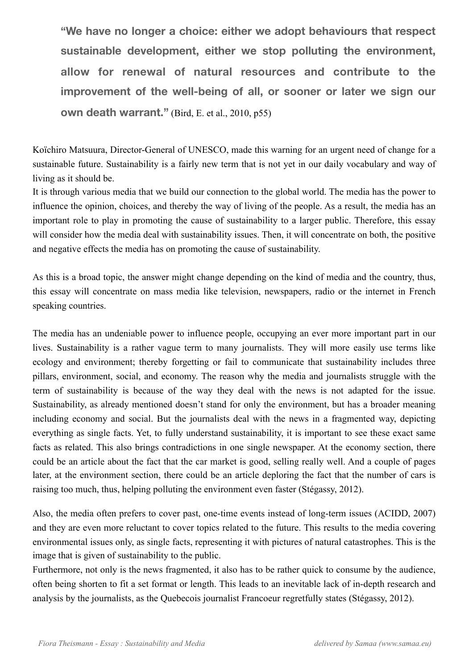**"We have no longer a choice: either we adopt behaviours that respect sustainable development, either we stop polluting the environment, allow for renewal of natural resources and contribute to the improvement of the well-being of all, or sooner or later we sign our own death warrant."** (Bird, E. et al., 2010, p55)

Koïchiro Matsuura, Director-General of UNESCO, made this warning for an urgent need of change for a sustainable future. Sustainability is a fairly new term that is not yet in our daily vocabulary and way of living as it should be.

It is through various media that we build our connection to the global world. The media has the power to influence the opinion, choices, and thereby the way of living of the people. As a result, the media has an important role to play in promoting the cause of sustainability to a larger public. Therefore, this essay will consider how the media deal with sustainability issues. Then, it will concentrate on both, the positive and negative effects the media has on promoting the cause of sustainability.

As this is a broad topic, the answer might change depending on the kind of media and the country, thus, this essay will concentrate on mass media like television, newspapers, radio or the internet in French speaking countries.

The media has an undeniable power to influence people, occupying an ever more important part in our lives. Sustainability is a rather vague term to many journalists. They will more easily use terms like ecology and environment; thereby forgetting or fail to communicate that sustainability includes three pillars, environment, social, and economy. The reason why the media and journalists struggle with the term of sustainability is because of the way they deal with the news is not adapted for the issue. Sustainability, as already mentioned doesn't stand for only the environment, but has a broader meaning including economy and social. But the journalists deal with the news in a fragmented way, depicting everything as single facts. Yet, to fully understand sustainability, it is important to see these exact same facts as related. This also brings contradictions in one single newspaper. At the economy section, there could be an article about the fact that the car market is good, selling really well. And a couple of pages later, at the environment section, there could be an article deploring the fact that the number of cars is raising too much, thus, helping polluting the environment even faster (Stégassy, 2012).

Also, the media often prefers to cover past, one-time events instead of long-term issues (ACIDD, 2007) and they are even more reluctant to cover topics related to the future. This results to the media covering environmental issues only, as single facts, representing it with pictures of natural catastrophes. This is the image that is given of sustainability to the public.

Furthermore, not only is the news fragmented, it also has to be rather quick to consume by the audience, often being shorten to fit a set format or length. This leads to an inevitable lack of in-depth research and analysis by the journalists, as the Quebecois journalist Francoeur regretfully states (Stégassy, 2012).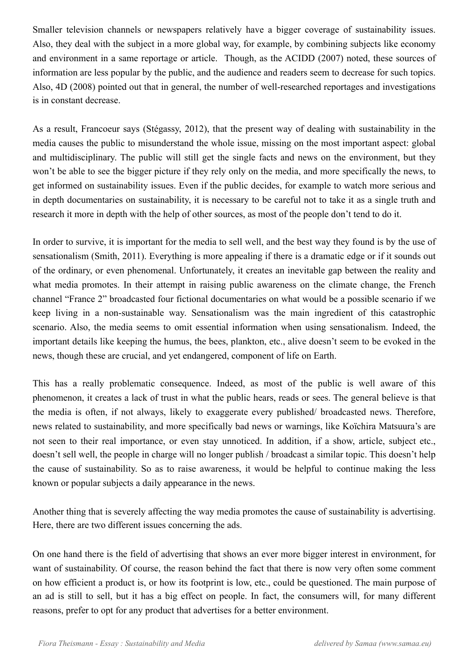Smaller television channels or newspapers relatively have a bigger coverage of sustainability issues. Also, they deal with the subject in a more global way, for example, by combining subjects like economy and environment in a same reportage or article. Though, as the ACIDD (2007) noted, these sources of information are less popular by the public, and the audience and readers seem to decrease for such topics. Also, 4D (2008) pointed out that in general, the number of well-researched reportages and investigations is in constant decrease.

As a result, Francoeur says (Stégassy, 2012), that the present way of dealing with sustainability in the media causes the public to misunderstand the whole issue, missing on the most important aspect: global and multidisciplinary. The public will still get the single facts and news on the environment, but they won't be able to see the bigger picture if they rely only on the media, and more specifically the news, to get informed on sustainability issues. Even if the public decides, for example to watch more serious and in depth documentaries on sustainability, it is necessary to be careful not to take it as a single truth and research it more in depth with the help of other sources, as most of the people don't tend to do it.

In order to survive, it is important for the media to sell well, and the best way they found is by the use of sensationalism (Smith, 2011). Everything is more appealing if there is a dramatic edge or if it sounds out of the ordinary, or even phenomenal. Unfortunately, it creates an inevitable gap between the reality and what media promotes. In their attempt in raising public awareness on the climate change, the French channel "France 2" broadcasted four fictional documentaries on what would be a possible scenario if we keep living in a non-sustainable way. Sensationalism was the main ingredient of this catastrophic scenario. Also, the media seems to omit essential information when using sensationalism. Indeed, the important details like keeping the humus, the bees, plankton, etc., alive doesn't seem to be evoked in the news, though these are crucial, and yet endangered, component of life on Earth.

This has a really problematic consequence. Indeed, as most of the public is well aware of this phenomenon, it creates a lack of trust in what the public hears, reads or sees. The general believe is that the media is often, if not always, likely to exaggerate every published/ broadcasted news. Therefore, news related to sustainability, and more specifically bad news or warnings, like Koïchira Matsuura's are not seen to their real importance, or even stay unnoticed. In addition, if a show, article, subject etc., doesn't sell well, the people in charge will no longer publish / broadcast a similar topic. This doesn't help the cause of sustainability. So as to raise awareness, it would be helpful to continue making the less known or popular subjects a daily appearance in the news.

Another thing that is severely affecting the way media promotes the cause of sustainability is advertising. Here, there are two different issues concerning the ads.

On one hand there is the field of advertising that shows an ever more bigger interest in environment, for want of sustainability. Of course, the reason behind the fact that there is now very often some comment on how efficient a product is, or how its footprint is low, etc., could be questioned. The main purpose of an ad is still to sell, but it has a big effect on people. In fact, the consumers will, for many different reasons, prefer to opt for any product that advertises for a better environment.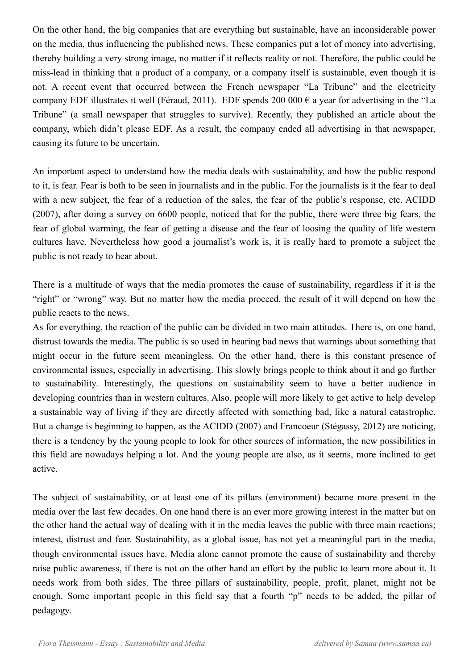On the other hand, the big companies that are everything but sustainable, have an inconsiderable power on the media, thus influencing the published news. These companies put a lot of money into advertising, thereby building a very strong image, no matter if it reflects reality or not. Therefore, the public could be miss-lead in thinking that a product of a company, or a company itself is sustainable, even though it is not. A recent event that occurred between the French newspaper "La Tribune" and the electricity company EDF illustrates it well (Féraud, 2011). EDF spends 200 000  $\epsilon$  a year for advertising in the "La Tribune" (a small newspaper that struggles to survive). Recently, they published an article about the company, which didn't please EDF. As a result, the company ended all advertising in that newspaper, causing its future to be uncertain.

An important aspect to understand how the media deals with sustainability, and how the public respond to it, is fear. Fear is both to be seen in journalists and in the public. For the journalists is it the fear to deal with a new subject, the fear of a reduction of the sales, the fear of the public's response, etc. ACIDD (2007), after doing a survey on 6600 people, noticed that for the public, there were three big fears, the fear of global warming, the fear of getting a disease and the fear of loosing the quality of life western cultures have. Nevertheless how good a journalist's work is, it is really hard to promote a subject the public is not ready to hear about.

There is a multitude of ways that the media promotes the cause of sustainability, regardless if it is the "right" or "wrong" way. But no matter how the media proceed, the result of it will depend on how the public reacts to the news.

As for everything, the reaction of the public can be divided in two main attitudes. There is, on one hand, distrust towards the media. The public is so used in hearing bad news that warnings about something that might occur in the future seem meaningless. On the other hand, there is this constant presence of environmental issues, especially in advertising. This slowly brings people to think about it and go further to sustainability. Interestingly, the questions on sustainability seem to have a better audience in developing countries than in western cultures. Also, people will more likely to get active to help develop a sustainable way of living if they are directly affected with something bad, like a natural catastrophe. But a change is beginning to happen, as the ACIDD (2007) and Francoeur (Stégassy, 2012) are noticing, there is a tendency by the young people to look for other sources of information, the new possibilities in this field are nowadays helping a lot. And the young people are also, as it seems, more inclined to get active.

The subject of sustainability, or at least one of its pillars (environment) became more present in the media over the last few decades. On one hand there is an ever more growing interest in the matter but on the other hand the actual way of dealing with it in the media leaves the public with three main reactions; interest, distrust and fear. Sustainability, as a global issue, has not yet a meaningful part in the media, though environmental issues have. Media alone cannot promote the cause of sustainability and thereby raise public awareness, if there is not on the other hand an effort by the public to learn more about it. It needs work from both sides. The three pillars of sustainability, people, profit, planet, might not be enough. Some important people in this field say that a fourth "p" needs to be added, the pillar of pedagogy.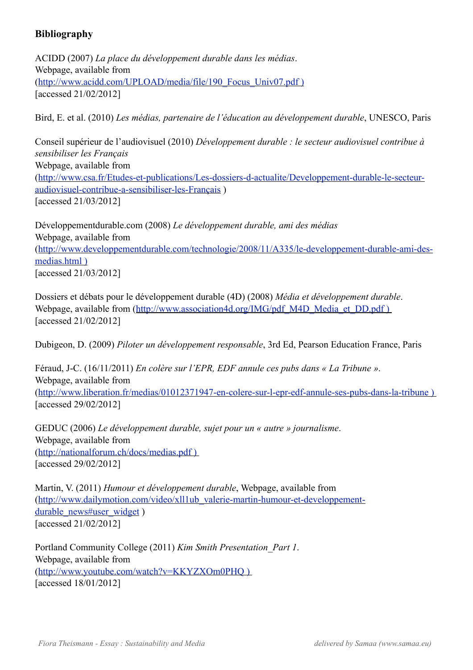## **Bibliography**

ACIDD (2007) *La place du développement durable dans les médias*. Webpage, available from [\(http://www.acidd.com/UPLOAD/media/file/190\\_Focus\\_Univ07.pdf \)](http://www.acidd.com/UPLOAD/media/file/190_Focus_Univ07.pdf) [accessed 21/02/2012]

Bird, E. et al. (2010) *Les médias, partenaire de l'éducation au développement durable*, UNESCO, Paris

Conseil supérieur de l'audiovisuel (2010) *Développement durable : le secteur audiovisuel contribue à sensibiliser les Français* Webpage, available from [\(http://www.csa.fr/Etudes-et-publications/Les-dossiers-d-actualite/Developpement-durable-le-secteur](http://www.csa.fr/Etudes-et-publications/Les-dossiers-d-actualite/Developpement-durable-le-secteur-audiovisuel-contribue-a-sensibiliser-les-Fran)[audiovisuel-contribue-a-sensibiliser-les-Franç](http://www.csa.fr/Etudes-et-publications/Les-dossiers-d-actualite/Developpement-durable-le-secteur-audiovisuel-contribue-a-sensibiliser-les-Fran)ais ) [accessed 21/03/2012]

Développementdurable.com (2008) *Le développement durable, ami des médias* Webpage, available from [\(http://www.developpementdurable.com/technologie/2008/11/A335/le-developpement-durable-ami-des](http://www.developpementdurable.com/technologie/2008/11/A335/le-developpement-durable-ami-des-medias.html)[medias.html \)](http://www.developpementdurable.com/technologie/2008/11/A335/le-developpement-durable-ami-des-medias.html) [accessed 21/03/2012]

Dossiers et débats pour le développement durable (4D) (2008) *Média et développement durable*. Webpage, available from (http://www.association4d.org/IMG/pdf\_M4D\_Media\_et\_DD.pdf ) [accessed 21/02/2012]

Dubigeon, D. (2009) *Piloter un développement responsable*, 3rd Ed, Pearson Education France, Paris

Féraud, J-C. (16/11/2011) *En colère sur l'EPR, EDF annule ces pubs dans « La Tribune »*. Webpage, available from [\(http://www.liberation.fr/medias/01012371947-en-colere-sur-l-epr-edf-annule-ses-pubs-dans-la-tribune \)](http://www.liberation.fr/medias/01012371947-en-colere-sur-l-epr-edf-annule-ses-pubs-dans-la-tribune)  [accessed 29/02/2012]

GEDUC (2006) *Le développement durable, sujet pour un « autre » journalisme*. Webpage, available from [\(http://nationalforum.ch/docs/medias.pdf \)](http://nationalforum.ch/docs/medias.pdf)  [accessed 29/02/2012]

Martin, V. (2011) *Humour et développement durable*, Webpage, available from [\(http://www.dailymotion.com/video/xll1ub\\_valerie-martin-humour-et-developpement](http://www.dailymotion.com/video/xll1ub_valerie-martin-humour-et-developpement-durable_news#user_widget)[durable\\_news#user\\_widget](http://www.dailymotion.com/video/xll1ub_valerie-martin-humour-et-developpement-durable_news#user_widget) ) [accessed 21/02/2012]

Portland Community College (2011) *Kim Smith Presentation\_Part 1*. Webpage, available from [\(http://www.youtube.com/watch?v=KKYZXOm0PHQ \)](http://www.youtube.com/watch?v=KKYZXOm0PHQ)  [accessed 18/01/2012]